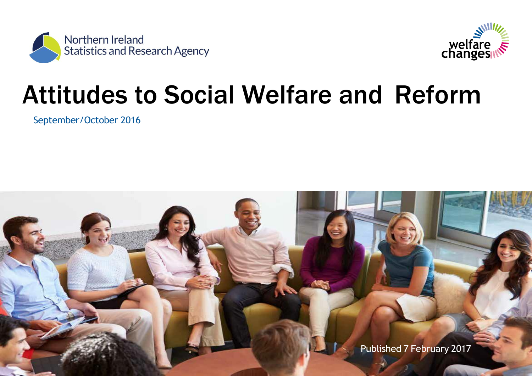



# Attitudes to Social Welfare and Reform

September/October 2016

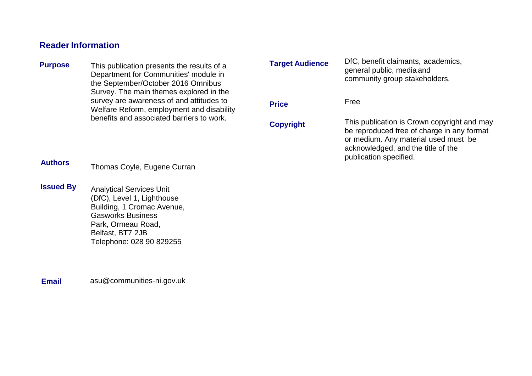# **Reader Information**

**Target Audience Price Copyright** DfC, benefit claimants, academics, general public, media and community group stakeholders. Free This publication is Crown copyright and may be reproduced free of charge in any format or medium. Any material used must be acknowledged, and the title of the publication specified. **Purpose** This publication presents the results of a Department for Communities' module in the September/October 2016 Omnibus Survey. The main themes explored in the survey are awareness of and attitudes to Welfare Reform, employment and disability benefits and associated barriers to work.

Thomas Coyle, Eugene Curran **Authors**

Analytical Services Unit (DfC), Level 1, Lighthouse Building, 1 Cromac Avenue, Gasworks Business Park, Ormeau Road, Belfast, BT7 2JB Telephone: 028 90 829255 **Issued By**

**Email** [asu@communities-ni.gov.uk](mailto:asu@communities-ni.gov.uk)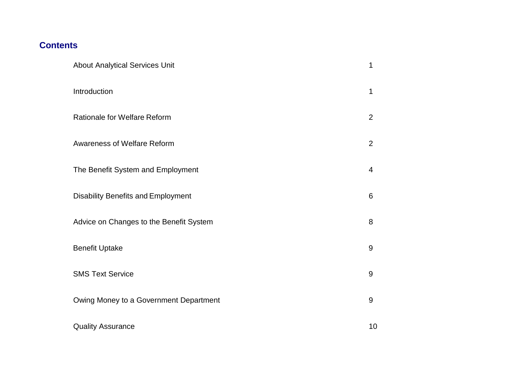# **Contents**

| <b>About Analytical Services Unit</b>     | 1              |
|-------------------------------------------|----------------|
| Introduction                              | 1              |
| <b>Rationale for Welfare Reform</b>       | $\overline{2}$ |
| <b>Awareness of Welfare Reform</b>        | $\overline{2}$ |
| The Benefit System and Employment         | $\overline{4}$ |
| <b>Disability Benefits and Employment</b> | 6              |
| Advice on Changes to the Benefit System   | 8              |
| <b>Benefit Uptake</b>                     | $\overline{9}$ |
| <b>SMS Text Service</b>                   | 9              |
| Owing Money to a Government Department    | 9              |
| <b>Quality Assurance</b>                  | 10             |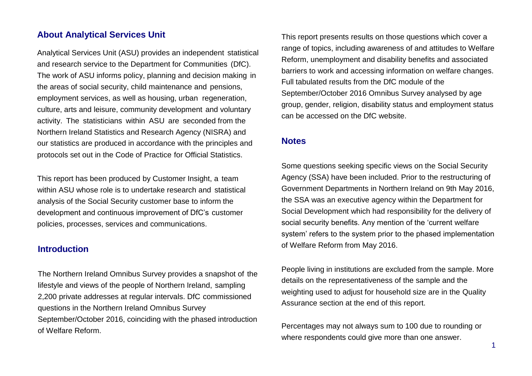# <span id="page-3-0"></span>**About Analytical Services Unit**

Analytical Services Unit (ASU) provides an independent statistical and research service to the Department for Communities (DfC). The work of ASU informs policy, planning and decision making in the areas of social security, child maintenance and pensions, employment services, as well as housing, urban regeneration, culture, arts and leisure, community development and voluntary activity. The statisticians within ASU are seconded from the Northern Ireland Statistics and Research Agency (NISRA) and our statistics are produced in accordance with the principles and protocols set out in the Code of Practice for Official Statistics.

This report has been produced by Customer Insight, a team within ASU whose role is to undertake research and statistical analysis of the Social Security customer base to inform the development and continuous improvement of DfC's customer policies, processes, services and communications.

# <span id="page-3-1"></span>**Introduction**

The Northern Ireland Omnibus Survey provides a snapshot of the lifestyle and views of the people of Northern Ireland, sampling 2,200 private addresses at regular intervals. DfC commissioned questions in the Northern Ireland Omnibus Survey September/October 2016, coinciding with the phased introduction of Welfare Reform.

This report presents results on those questions which cover a range of topics, including awareness of and attitudes to Welfare Reform, unemployment and disability benefits and associated barriers to work and accessing information on welfare changes. Full tabulated results from the DfC module of the September/October 2016 Omnibus Survey analysed by age group, gender, religion, disability status and employment status can be accessed on the DfC website.

#### **Notes**

Some questions seeking specific views on the Social Security Agency (SSA) have been included. Prior to the restructuring of Government Departments in Northern Ireland on 9th May 2016, the SSA was an executive agency within the Department for Social Development which had responsibility for the delivery of social security benefits. Any mention of the 'current welfare system' refers to the system prior to the phased implementation of Welfare Reform from May 2016.

People living in institutions are excluded from the sample. More details on the representativeness of the sample and the weighting used to adjust for household size are in the Quality Assurance section at the end of this report.

Percentages may not always sum to 100 due to rounding or where respondents could give more than one answer.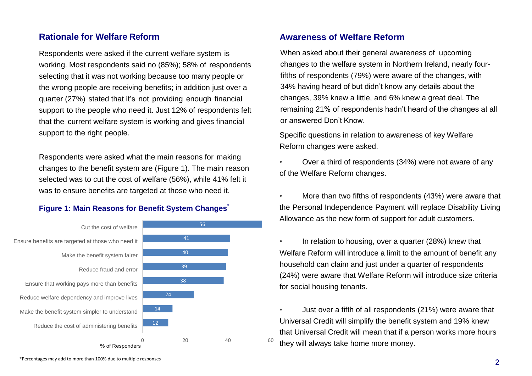# <span id="page-4-0"></span>**Rationale for Welfare Reform**

Respondents were asked if the current welfare system is working. Most respondents said no (85%); 58% of respondents selecting that it was not working because too many people or the wrong people are receiving benefits; in addition just over a quarter (27%) stated that it's not providing enough financial support to the people who need it. Just 12% of respondents felt that the current welfare system is working and gives financial support to the right people.

Respondents were asked what the main reasons for making changes to the benefit system are (Figure 1). The main reason selected was to cut the cost of welfare (56%), while 41% felt it was to ensure benefits are targeted at those who need it.

#### **Figure 1: Main Reasons for Benefit System Changes<sup>\*</sup>**

<span id="page-4-1"></span>

# **Awareness of Welfare Reform**

When asked about their general awareness of upcoming changes to the welfare system in Northern Ireland, nearly fourfifths of respondents (79%) were aware of the changes, with 34% having heard of but didn't know any details about the changes, 39% knew a little, and 6% knew a great deal. The remaining 21% of respondents hadn't heard of the changes at all or answered Don't Know.

Specific questions in relation to awareness of key Welfare Reform changes were asked.

• Over a third of respondents (34%) were not aware of any of the Welfare Reform changes.

• More than two fifths of respondents (43%) were aware that the Personal Independence Payment will replace Disability Living Allowance as the new form of support for adult customers.

In relation to housing, over a quarter (28%) knew that Welfare Reform will introduce a limit to the amount of benefit any household can claim and just under a quarter of respondents (24%) were aware that Welfare Reform will introduce size criteria for social housing tenants.

• Just over a fifth of all respondents (21%) were aware that Universal Credit will simplify the benefit system and 19% knew that Universal Credit will mean that if a person works more hours they will always take home more money.

\*Percentages may add to more than 100% due to multiple responses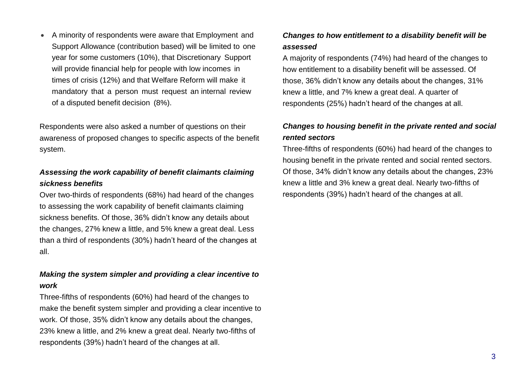A minority of respondents were aware that Employment and Support Allowance (contribution based) will be limited to one year for some customers (10%), that Discretionary Support will provide financial help for people with low incomes in times of crisis (12%) and that Welfare Reform will make it mandatory that a person must request an internal review of a disputed benefit decision (8%).

Respondents were also asked a number of questions on their awareness of proposed changes to specific aspects of the benefit system.

# *Assessing the work capability of benefit claimants claiming sickness benefits*

Over two-thirds of respondents (68%) had heard of the changes to assessing the work capability of benefit claimants claiming sickness benefits. Of those, 36% didn't know any details about the changes, 27% knew a little, and 5% knew a great deal. Less than a third of respondents (30%) hadn't heard of the changes at all.

# *Making the system simpler and providing a clear incentive to work*

Three-fifths of respondents (60%) had heard of the changes to make the benefit system simpler and providing a clear incentive to work. Of those, 35% didn't know any details about the changes, 23% knew a little, and 2% knew a great deal. Nearly two-fifths of respondents (39%) hadn't heard of the changes at all.

# *Changes to how entitlement to a disability benefit will be assessed*

A majority of respondents (74%) had heard of the changes to how entitlement to a disability benefit will be assessed. Of those, 36% didn't know any details about the changes, 31% knew a little, and 7% knew a great deal. A quarter of respondents (25%) hadn't heard of the changes at all.

# *Changes to housing benefit in the private rented and social rented sectors*

Three-fifths of respondents (60%) had heard of the changes to housing benefit in the private rented and social rented sectors. Of those, 34% didn't know any details about the changes, 23% knew a little and 3% knew a great deal. Nearly two-fifths of respondents (39%) hadn't heard of the changes at all.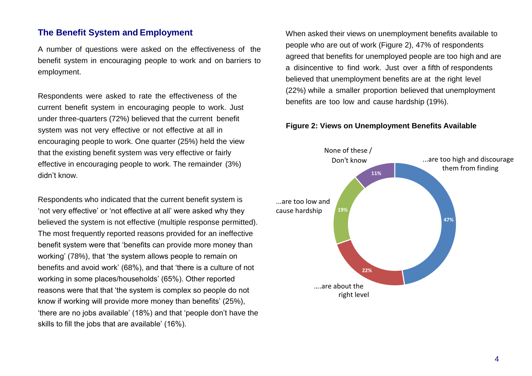# <span id="page-6-0"></span>**The Benefit System and Employment**

A number of questions were asked on the effectiveness of the benefit system in encouraging people to work and on barriers to employment.

Respondents were asked to rate the effectiveness of the current benefit system in encouraging people to work. Just under three-quarters (72%) believed that the current benefit system was not very effective or not effective at all in encouraging people to work. One quarter (25%) held the view that the existing benefit system was very effective or fairly effective in encouraging people to work. The remainder (3%) didn't know.

Respondents who indicated that the current benefit system is 'not very effective' or 'not effective at all' were asked why they believed the system is not effective (multiple response permitted). The most frequently reported reasons provided for an ineffective benefit system were that 'benefits can provide more money than working' (78%), that 'the system allows people to remain on benefits and avoid work' (68%), and that 'there is a culture of not working in some places/households' (65%). Other reported reasons were that that 'the system is complex so people do not know if working will provide more money than benefits' (25%), 'there are no jobs available' (18%) and that 'people don't have the skills to fill the jobs that are available' (16%).

When asked their views on unemployment benefits available to people who are out of work (Figure 2), 47% of respondents agreed that benefits for unemployed people are too high and are a disincentive to find work. Just over a fifth of respondents believed that unemployment benefits are at the right level (22%) while a smaller proportion believed that unemployment benefits are too low and cause hardship (19%).

#### **Figure 2: Views on Unemployment Benefits Available**

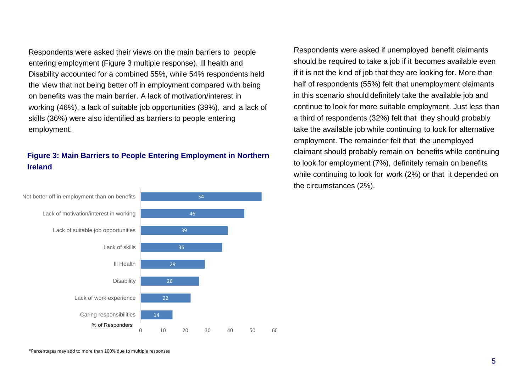Respondents were asked their views on the main barriers to people entering employment (Figure 3 multiple response). Ill health and Disability accounted for a combined 55%, while 54% respondents held the view that not being better off in employment compared with being on benefits was the main barrier. A lack of motivation/interest in working (46%), a lack of suitable job opportunities (39%), and a lack of skills (36%) were also identified as barriers to people entering employment.

# **Figure 3: Main Barriers to People Entering Employment in Northern Ireland**



Respondents were asked if unemployed benefit claimants should be required to take a job if it becomes available even if it is not the kind of job that they are looking for. More than half of respondents (55%) felt that unemployment claimants in this scenario should definitely take the available job and continue to look for more suitable employment. Just less than a third of respondents (32%) felt that they should probably take the available job while continuing to look for alternative employment. The remainder felt that the unemployed claimant should probably remain on benefits while continuing to look for employment (7%), definitely remain on benefits while continuing to look for work (2%) or that it depended on the circumstances (2%).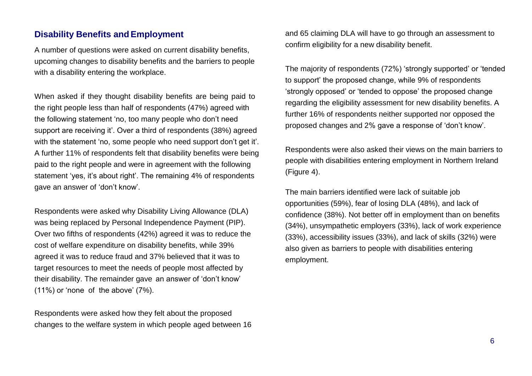# <span id="page-8-0"></span>**Disability Benefits andEmployment**

A number of questions were asked on current disability benefits, upcoming changes to disability benefits and the barriers to people with a disability entering the workplace.

When asked if they thought disability benefits are being paid to the right people less than half of respondents (47%) agreed with the following statement 'no, too many people who don't need support are receiving it'. Over a third of respondents (38%) agreed with the statement 'no, some people who need support don't get it'. A further 11% of respondents felt that disability benefits were being paid to the right people and were in agreement with the following statement 'yes, it's about right'. The remaining 4% of respondents gave an answer of 'don't know'.

Respondents were asked why Disability Living Allowance (DLA) was being replaced by Personal Independence Payment (PIP). Over two fifths of respondents (42%) agreed it was to reduce the cost of welfare expenditure on disability benefits, while 39% agreed it was to reduce fraud and 37% believed that it was to target resources to meet the needs of people most affected by their disability. The remainder gave an answer of 'don't know' (11%) or 'none of the above' (7%).

Respondents were asked how they felt about the proposed changes to the welfare system in which people aged between 16

and 65 claiming DLA will have to go through an assessment to confirm eligibility for a new disability benefit.

The majority of respondents (72%) 'strongly supported' or 'tended to support' the proposed change, while 9% of respondents 'strongly opposed' or 'tended to oppose' the proposed change regarding the eligibility assessment for new disability benefits. A further 16% of respondents neither supported nor opposed the proposed changes and 2% gave a response of 'don't know'.

Respondents were also asked their views on the main barriers to people with disabilities entering employment in Northern Ireland (Figure 4).

The main barriers identified were lack of suitable job opportunities (59%), fear of losing DLA (48%), and lack of confidence (38%). Not better off in employment than on benefits (34%), unsympathetic employers (33%), lack of work experience (33%), accessibility issues (33%), and lack of skills (32%) were also given as barriers to people with disabilities entering employment.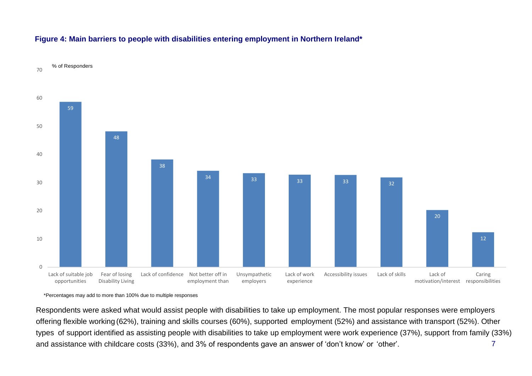<span id="page-9-0"></span>

#### **Figure 4: Main barriers to people with disabilities entering employment in Northern Ireland\***

\*Percentages may add to more than 100% due to multiple responses

7 Respondents were asked what would assist people with disabilities to take up employment. The most popular responses were employers offering flexible working (62%), training and skills courses (60%), supported employment (52%) and assistance with transport (52%). Other types of support identified as assisting people with disabilities to take up employment were work experience (37%), support from family (33%) and assistance with childcare costs (33%), and 3% of respondents gave an answer of 'don't know' or 'other'.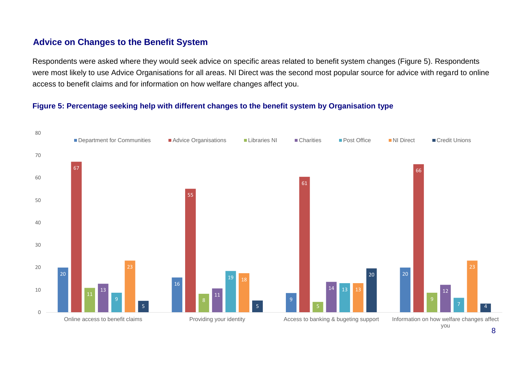# <span id="page-10-0"></span>**Advice on Changes to the Benefit System**

Respondents were asked where they would seek advice on specific areas related to benefit system changes (Figure 5). Respondents were most likely to use Advice Organisations for all areas. NI Direct was the second most popular source for advice with regard to online access to benefit claims and for information on how welfare changes affect you.

## **Figure 5: Percentage seeking help with different changes to the benefit system by Organisation type**

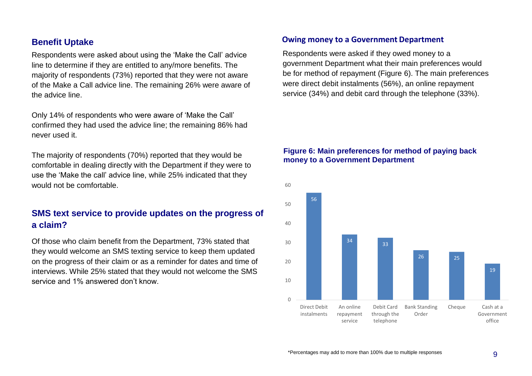# **Benefit Uptake**

Respondents were asked about using the 'Make the Call' advice line to determine if they are entitled to any/more benefits. The majority of respondents (73%) reported that they were not aware of the Make a Call advice line. The remaining 26% were aware of the advice line.

Only 14% of respondents who were aware of 'Make the Call' confirmed they had used the advice line; the remaining 86% had never used it.

The majority of respondents (70%) reported that they would be comfortable in dealing directly with the Department if they were to use the 'Make the call' advice line, while 25% indicated that they would not be comfortable.

# **SMS text service to provide updates on the progress of a claim?**

Of those who claim benefit from the Department, 73% stated that they would welcome an SMS texting service to keep them updated on the progress of their claim or as a reminder for dates and time of interviews. While 25% stated that they would not welcome the SMS service and 1% answered don't know.

#### **Owing money to a Government Department**

Respondents were asked if they owed money to a government Department what their main preferences would be for method of repayment (Figure 6). The main preferences were direct debit instalments (56%), an online repayment service (34%) and debit card through the telephone (33%).

#### **Figure 6: Main preferences for method of paying back money to a Government Department**

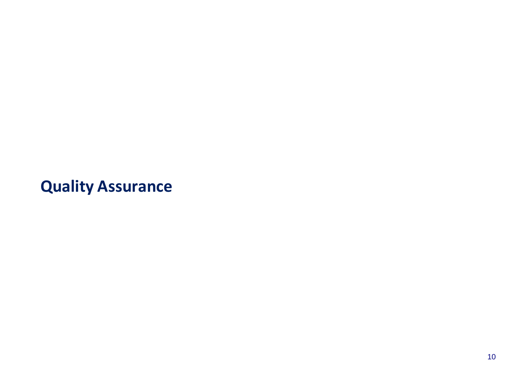**Quality Assurance**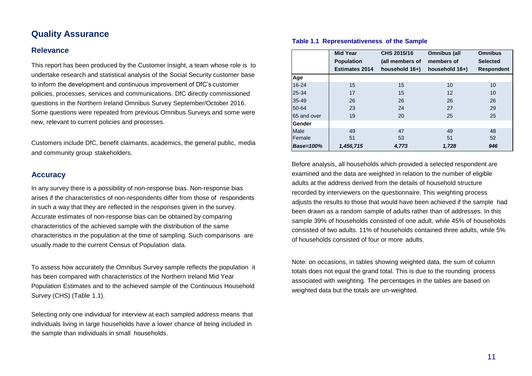# <span id="page-13-0"></span>**Quality Assurance**

#### **Relevance**

This report has been produced by the Customer Insight, a team whose role is to undertake research and statistical analysis of the Social Security customer base to inform the development and continuous improvement of DfC's customer policies, processes, services and communications. DfC directly commissioned questions in the Northern Ireland Omnibus Survey September/October 2016. Some questions were repeated from previous Omnibus Surveys and some were new, relevant to current policies and processes.

Customers include DfC, benefit claimants, academics, the general public, media and community group stakeholders.

#### **Accuracy**

In any survey there is a possibility of non-response bias. Non-response bias arises if the characteristics of non-respondents differ from those of respondents in such a way that they are reflected in the responses given in the survey. Accurate estimates of non-response bias can be obtained by comparing characteristics of the achieved sample with the distribution of the same characteristics in the population at the time of sampling. Such comparisons are usually made to the current Census of Population data.

To assess how accurately the Omnibus Survey sample reflects the population it has been compared with characteristics of the Northern Ireland Mid Year Population Estimates and to the achieved sample of the Continuous Household Survey (CHS) (Table 1.1).

Selecting only one individual for interview at each sampled address means that individuals living in large households have a lower chance of being included in the sample than individuals in small households.

|                  | <b>Mid Year</b>       | CHS 2015/16     | Omnibus (all      | <b>Omnibus</b>    |
|------------------|-----------------------|-----------------|-------------------|-------------------|
|                  | <b>Population</b>     | (all members of | members of        | <b>Selected</b>   |
|                  | <b>Estimates 2014</b> | household 16+)  | household 16+)    | <b>Respondent</b> |
| Age              |                       |                 |                   |                   |
| $16 - 24$        | 15                    | 15              | 10                | 10                |
| 25-34            | 17                    | 15              | $12 \overline{ }$ | 10                |
| 35-49            | 26                    | 26              | 26                | 26                |
| 50-64            | 23                    | 24              | 27                | 29                |
| 65 and over      | 19                    | 20              | 25                | 25                |
| Gender           |                       |                 |                   |                   |
| Male             | 49                    | 47              | 49                | 48                |
| Female           | 51                    | 53              | 51                | 52                |
| <b>Base=100%</b> | 1,456,715             | 4,773           | 1,728             | 946               |

#### **Table 1.1 Representativeness of the Sample**

Before analysis, all households which provided a selected respondent are examined and the data are weighted in relation to the number of eligible adults at the address derived from the details of household structure recorded by interviewers on the questionnaire. This weighting process adjusts the results to those that would have been achieved if the sample had been drawn as a random sample of adults rather than of addresses. In this sample 39% of households consisted of one adult, while 45% of households consisted of two adults. 11% of households contained three adults, while 5% of households consisted of four or more adults.

Note: on occasions, in tables showing weighted data, the sum of column totals does not equal the grand total. This is due to the rounding process associated with weighting. The percentages in the tables are based on weighted data but the totals are un-weighted.